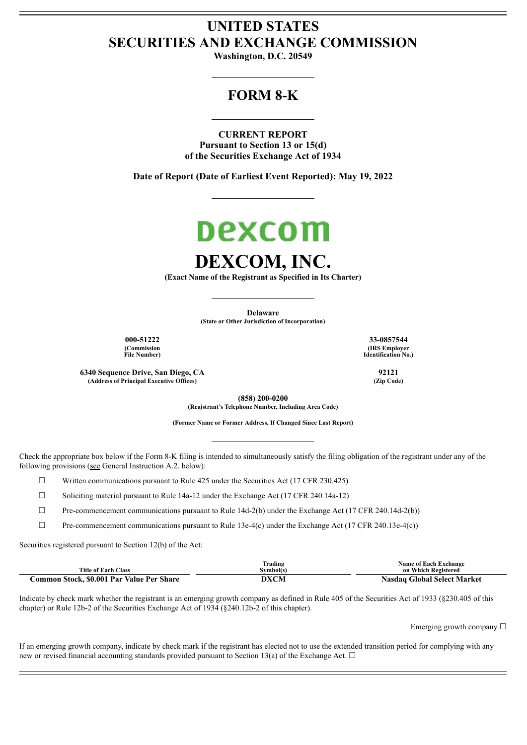# **UNITED STATES SECURITIES AND EXCHANGE COMMISSION**

**Washington, D.C. 20549**

## **FORM 8-K**

**CURRENT REPORT Pursuant to Section 13 or 15(d) of the Securities Exchange Act of 1934**

**Date of Report (Date of Earliest Event Reported): May 19, 2022**

# Dexcom **DEXCOM, INC.**

**(Exact Name of the Registrant as Specified in Its Charter)**

**Delaware (State or Other Jurisdiction of Incorporation)**

**(Commission File Number)**

**6340 Sequence Drive, San Diego, CA 92121**  $\overrightarrow{A}$  **(Address of Principal Executive Offices)** 

**000-51222 33-0857544 (IRS Employer Identification No.)**

**(858) 200-0200 (Registrant's Telephone Number, Including Area Code)**

**(Former Name or Former Address, If Changed Since Last Report)**

Check the appropriate box below if the Form 8-K filing is intended to simultaneously satisfy the filing obligation of the registrant under any of the following provisions (see General Instruction A.2. below):

 $\Box$  Written communications pursuant to Rule 425 under the Securities Act (17 CFR 230.425)

 $\Box$  Soliciting material pursuant to Rule 14a-12 under the Exchange Act (17 CFR 240.14a-12)

☐ Pre-commencement communications pursuant to Rule 14d-2(b) under the Exchange Act (17 CFR 240.14d-2(b))

 $\Box$  Pre-commencement communications pursuant to Rule 13e-4(c) under the Exchange Act (17 CFR 240.13e-4(c))

Securities registered pursuant to Section 12(b) of the Act:

|                                           | nu s<br>Frading | Name of Each Exchange       |
|-------------------------------------------|-----------------|-----------------------------|
| <b>Title of Each Class</b>                | Svmbol(s)       | on Which Registered         |
| Common Stock, \$0.001 Par Value Per Share | DXCM            | Nasdag Global Select Market |

Indicate by check mark whether the registrant is an emerging growth company as defined in Rule 405 of the Securities Act of 1933 (§230.405 of this chapter) or Rule 12b-2 of the Securities Exchange Act of 1934 (§240.12b-2 of this chapter).

Emerging growth company  $\Box$ 

If an emerging growth company, indicate by check mark if the registrant has elected not to use the extended transition period for complying with any new or revised financial accounting standards provided pursuant to Section 13(a) of the Exchange Act.  $\Box$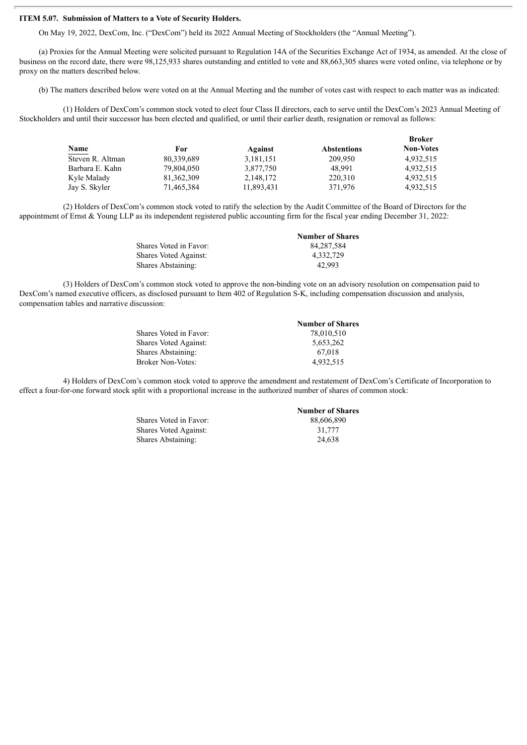#### **ITEM 5.07. Submission of Matters to a Vote of Security Holders.**

On May 19, 2022, DexCom, Inc. ("DexCom") held its 2022 Annual Meeting of Stockholders (the "Annual Meeting").

(a) Proxies for the Annual Meeting were solicited pursuant to Regulation 14A of the Securities Exchange Act of 1934, as amended. At the close of business on the record date, there were 98,125,933 shares outstanding and entitled to vote and 88,663,305 shares were voted online, via telephone or by proxy on the matters described below.

(b) The matters described below were voted on at the Annual Meeting and the number of votes cast with respect to each matter was as indicated:

(1) Holders of DexCom's common stock voted to elect four Class II directors, each to serve until the DexCom's 2023 Annual Meeting of Stockholders and until their successor has been elected and qualified, or until their earlier death, resignation or removal as follows:

|              |            |                    | <b>Broker</b>    |
|--------------|------------|--------------------|------------------|
| For          | Against    | <b>Abstentions</b> | <b>Non-Votes</b> |
| 80.339.689   | 3,181,151  | 209.950            | 4,932,515        |
| 79.804.050   | 3,877,750  | 48.991             | 4,932,515        |
| 81, 362, 309 | 2,148,172  | 220,310            | 4,932,515        |
| 71,465,384   | 11,893,431 | 371,976            | 4,932,515        |
|              |            |                    |                  |

(2) Holders of DexCom's common stock voted to ratify the selection by the Audit Committee of the Board of Directors for the appointment of Ernst & Young LLP as its independent registered public accounting firm for the fiscal year ending December 31, 2022:

| <b>Number of Shares</b> |
|-------------------------|
| 84.287.584              |
| 4.332.729               |
| 42.993                  |
|                         |

(3) Holders of DexCom's common stock voted to approve the non-binding vote on an advisory resolution on compensation paid to DexCom's named executive officers, as disclosed pursuant to Item 402 of Regulation S-K, including compensation discussion and analysis, compensation tables and narrative discussion:

|                              | <b>Number of Shares</b> |
|------------------------------|-------------------------|
| Shares Voted in Favor:       | 78.010.510              |
| <b>Shares Voted Against:</b> | 5.653.262               |
| Shares Abstaining:           | 67.018                  |
| Broker Non-Votes:            | 4,932,515               |
|                              |                         |

4) Holders of DexCom's common stock voted to approve the amendment and restatement of DexCom's Certificate of Incorporation to effect a four-for-one forward stock split with a proportional increase in the authorized number of shares of common stock:

> Shares Voted in Favor: 88,606,890<br>Shares Voted Against: 31,777 Shares Voted Against: Shares Abstaining: 24,638

**Number of Shares**